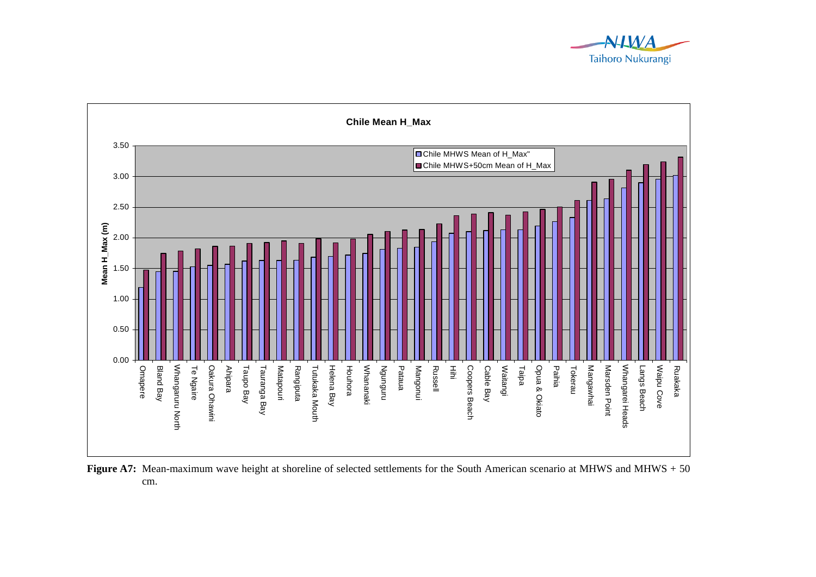



**Figure A7:** Mean-maximum wave height at shoreline of selected settlements for the South American scenario at MHWS and MHWS + 50 cm.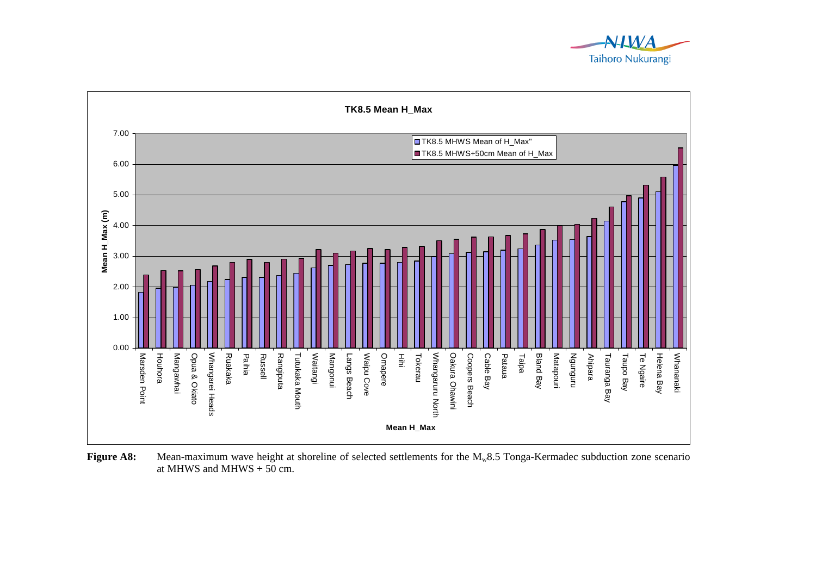



**Figure A8:** Mean-maximum wave height at shoreline of selected settlements for the M<sub>w</sub>8.5 Tonga-Kermadec subduction zone scenario at MHWS and MHWS  $+ 50$  cm.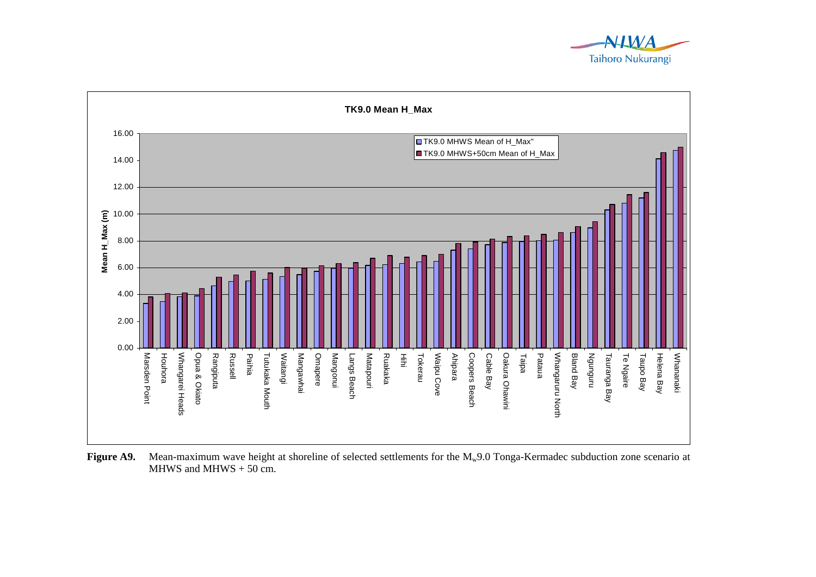



Figure A9. Mean-maximum wave height at shoreline of selected settlements for the M<sub>w</sub>9.0 Tonga-Kermadec subduction zone scenario at MHWS and MHWS  $+ 50$  cm.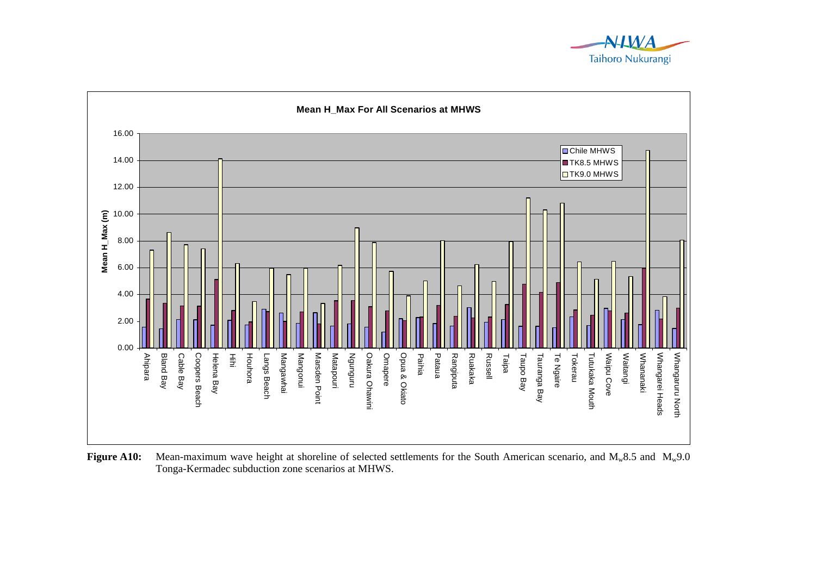



**Figure A10:** Mean-maximum wave height at shoreline of selected settlements for the South American scenario, and M<sub>w</sub>8.5 and M<sub>w</sub>9.0 Tonga-Kermadec subduction zone scenarios at MHWS.